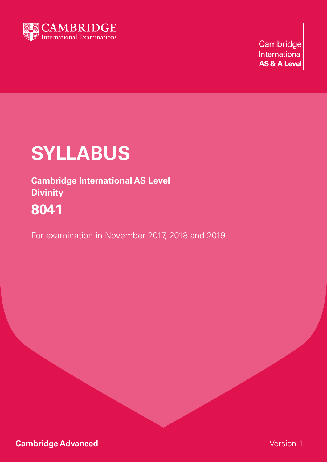

Cambridge International **AS & A Level** 

# **Syllabus**

**Cambridge International AS Level Divinity 8041**

For examination in November 2017, 2018 and 2019

**Cambridge Advanced Cambridge Advanced Version 1**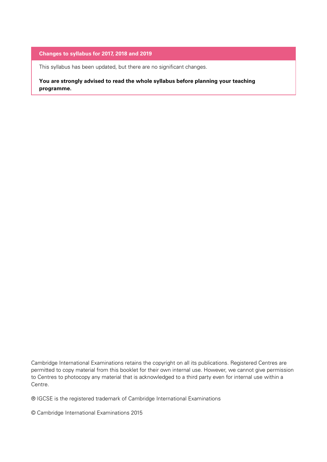#### **Changes to syllabus for 2017, 2018 and 2019**

This syllabus has been updated, but there are no significant changes.

**You are strongly advised to read the whole syllabus before planning your teaching programme.**

Cambridge International Examinations retains the copyright on all its publications. Registered Centres are permitted to copy material from this booklet for their own internal use. However, we cannot give permission to Centres to photocopy any material that is acknowledged to a third party even for internal use within a Centre.

® IGCSE is the registered trademark of Cambridge International Examinations

© Cambridge International Examinations 2015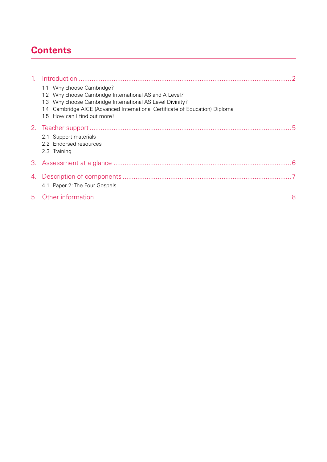# **Contents**

| $\sim$ 1. |                                                                                                                                                                                                                                                                  |  |
|-----------|------------------------------------------------------------------------------------------------------------------------------------------------------------------------------------------------------------------------------------------------------------------|--|
|           | 1.1 Why choose Cambridge?<br>1.2 Why choose Cambridge International AS and A Level?<br>1.3 Why choose Cambridge International AS Level Divinity?<br>1.4 Cambridge AICE (Advanced International Certificate of Education) Diploma<br>1.5 How can I find out more? |  |
|           | 2.1 Support materials<br>2.2 Endorsed resources<br>2.3 Training                                                                                                                                                                                                  |  |
|           |                                                                                                                                                                                                                                                                  |  |
|           | 4.1 Paper 2: The Four Gospels                                                                                                                                                                                                                                    |  |
|           |                                                                                                                                                                                                                                                                  |  |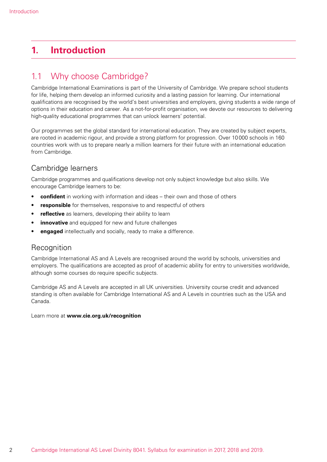# **1. Introduction**

# 1.1 Why choose Cambridge?

Cambridge International Examinations is part of the University of Cambridge. We prepare school students for life, helping them develop an informed curiosity and a lasting passion for learning. Our international qualifications are recognised by the world's best universities and employers, giving students a wide range of options in their education and career. As a not-for-profit organisation, we devote our resources to delivering high-quality educational programmes that can unlock learners' potential.

Our programmes set the global standard for international education. They are created by subject experts, are rooted in academic rigour, and provide a strong platform for progression. Over 10000 schools in 160 countries work with us to prepare nearly a million learners for their future with an international education from Cambridge.

## Cambridge learners

Cambridge programmes and qualifications develop not only subject knowledge but also skills. We encourage Cambridge learners to be:

- • **confident** in working with information and ideas their own and those of others
- responsible for themselves, responsive to and respectful of others
- reflective as learners, developing their ability to learn
- **innovative** and equipped for new and future challenges
- **engaged** intellectually and socially, ready to make a difference.

#### **Recognition**

Cambridge International AS and A Levels are recognised around the world by schools, universities and employers. The qualifications are accepted as proof of academic ability for entry to universities worldwide, although some courses do require specific subjects.

Cambridge AS and A Levels are accepted in all UK universities. University course credit and advanced standing is often available for Cambridge International AS and A Levels in countries such as the USA and Canada.

Learn more at **www.cie.org.uk/recognition**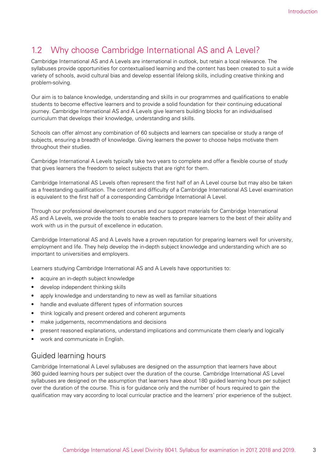# 1.2 Why choose Cambridge International AS and A Level?

Cambridge International AS and A Levels are international in outlook, but retain a local relevance. The syllabuses provide opportunities for contextualised learning and the content has been created to suit a wide variety of schools, avoid cultural bias and develop essential lifelong skills, including creative thinking and problem-solving.

Our aim is to balance knowledge, understanding and skills in our programmes and qualifications to enable students to become effective learners and to provide a solid foundation for their continuing educational journey. Cambridge International AS and A Levels give learners building blocks for an individualised curriculum that develops their knowledge, understanding and skills.

Schools can offer almost any combination of 60 subjects and learners can specialise or study a range of subjects, ensuring a breadth of knowledge. Giving learners the power to choose helps motivate them throughout their studies.

Cambridge International A Levels typically take two years to complete and offer a flexible course of study that gives learners the freedom to select subjects that are right for them.

Cambridge International AS Levels often represent the first half of an A Level course but may also be taken as a freestanding qualification. The content and difficulty of a Cambridge International AS Level examination is equivalent to the first half of a corresponding Cambridge International A Level.

Through our professional development courses and our support materials for Cambridge International AS and A Levels, we provide the tools to enable teachers to prepare learners to the best of their ability and work with us in the pursuit of excellence in education.

Cambridge International AS and A Levels have a proven reputation for preparing learners well for university, employment and life. They help develop the in-depth subject knowledge and understanding which are so important to universities and employers.

Learners studying Cambridge International AS and A Levels have opportunities to:

- acquire an in-depth subject knowledge
- develop independent thinking skills
- apply knowledge and understanding to new as well as familiar situations
- handle and evaluate different types of information sources
- think logically and present ordered and coherent arguments
- make judgements, recommendations and decisions
- present reasoned explanations, understand implications and communicate them clearly and logically
- work and communicate in English.

#### Guided learning hours

Cambridge International A Level syllabuses are designed on the assumption that learners have about 360 guided learning hours per subject over the duration of the course. Cambridge International AS Level syllabuses are designed on the assumption that learners have about 180 guided learning hours per subject over the duration of the course. This is for guidance only and the number of hours required to gain the qualification may vary according to local curricular practice and the learners' prior experience of the subject.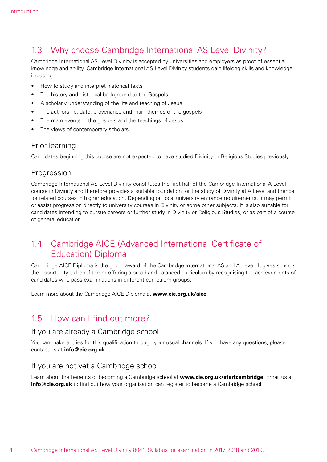# 1.3 Why choose Cambridge International AS Level Divinity?

Cambridge International AS Level Divinity is accepted by universities and employers as proof of essential knowledge and ability. Cambridge International AS Level Divinity students gain lifelong skills and knowledge including:

- How to study and interpret historical texts
- The history and historical background to the Gospels
- • A scholarly understanding of the life and teaching of Jesus
- The authorship, date, provenance and main themes of the gospels
- The main events in the gospels and the teachings of Jesus
- The views of contemporary scholars.

#### Prior learning

Candidates beginning this course are not expected to have studied Divinity or Religious Studies previously.

#### Progression

Cambridge International AS Level Divinity constitutes the first half of the Cambridge International A Level course in Divinity and therefore provides a suitable foundation for the study of Divinity at A Level and thence for related courses in higher education. Depending on local university entrance requirements, it may permit or assist progression directly to university courses in Divinity or some other subjects. It is also suitable for candidates intending to pursue careers or further study in Divinity or Religious Studies, or as part of a course of general education.

## 1.4 Cambridge AICE (Advanced International Certificate of Education) Diploma

Cambridge AICE Diploma is the group award of the Cambridge International AS and A Level. It gives schools the opportunity to benefit from offering a broad and balanced curriculum by recognising the achievements of candidates who pass examinations in different curriculum groups.

Learn more about the Cambridge AICE Diploma at **www.cie.org.uk/aice**

## 1.5 How can I find out more?

#### If you are already a Cambridge school

You can make entries for this qualification through your usual channels. If you have any questions, please contact us at **info@cie.org.uk**

#### If you are not yet a Cambridge school

Learn about the benefits of becoming a Cambridge school at **www.cie.org.uk/startcambridge**. Email us at **info@cie.org.uk** to find out how your organisation can register to become a Cambridge school.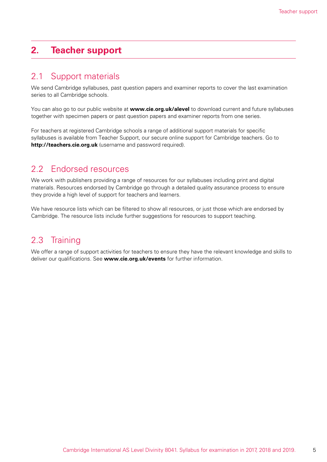# **2. Teacher support**

## 2.1 Support materials

We send Cambridge syllabuses, past question papers and examiner reports to cover the last examination series to all Cambridge schools.

You can also go to our public website at **www.cie.org.uk/alevel** to download current and future syllabuses together with specimen papers or past question papers and examiner reports from one series.

For teachers at registered Cambridge schools a range of additional support materials for specific syllabuses is available from Teacher Support, our secure online support for Cambridge teachers. Go to **http://teachers.cie.org.uk** (username and password required).

# 2.2 Endorsed resources

We work with publishers providing a range of resources for our syllabuses including print and digital materials. Resources endorsed by Cambridge go through a detailed quality assurance process to ensure they provide a high level of support for teachers and learners.

We have resource lists which can be filtered to show all resources, or just those which are endorsed by Cambridge. The resource lists include further suggestions for resources to support teaching.

# 2.3 Training

We offer a range of support activities for teachers to ensure they have the relevant knowledge and skills to deliver our qualifications. See **www.cie.org.uk/events** for further information.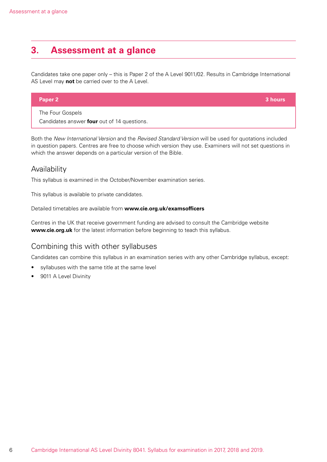# **3. Assessment at a glance**

Candidates take one paper only – this is Paper 2 of the A Level 9011/02. Results in Cambridge International AS Level may **not** be carried over to the A Level.

| <b>Paper 2</b>   | 3 hours |
|------------------|---------|
| The Four Gospels |         |

Candidates answer **four** out of 14 questions.

Both the *New International Version* and the *Revised Standard Version* will be used for quotations included in question papers. Centres are free to choose which version they use. Examiners will not set questions in which the answer depends on a particular version of the Bible.

#### Availability

This syllabus is examined in the October/November examination series.

This syllabus is available to private candidates.

Detailed timetables are available from **www.cie.org.uk/examsofficers**

Centres in the UK that receive government funding are advised to consult the Cambridge website **www.cie.org.uk** for the latest information before beginning to teach this syllabus.

#### Combining this with other syllabuses

Candidates can combine this syllabus in an examination series with any other Cambridge syllabus, except:

- syllabuses with the same title at the same level
- 9011 A Level Divinity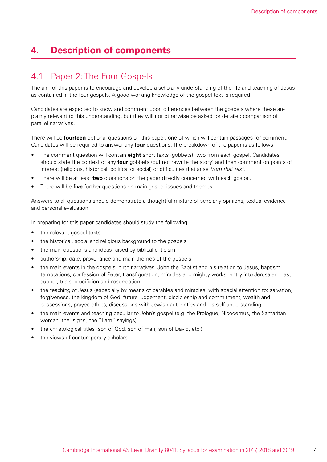# **4. Description of components**

## 4.1 Paper 2: The Four Gospels

The aim of this paper is to encourage and develop a scholarly understanding of the life and teaching of Jesus as contained in the four gospels. A good working knowledge of the gospel text is required.

Candidates are expected to know and comment upon differences between the gospels where these are plainly relevant to this understanding, but they will not otherwise be asked for detailed comparison of parallel narratives.

There will be **fourteen** optional questions on this paper, one of which will contain passages for comment. Candidates will be required to answer any **four** questions. The breakdown of the paper is as follows:

- The comment question will contain **eight** short texts (gobbets), two from each gospel. Candidates should state the context of any **four** gobbets (but not rewrite the story) and then comment on points of interest (religious, historical, political or social) or difficulties that arise *from that text*.
- There will be at least **two** questions on the paper directly concerned with each gospel.
- There will be **five** further questions on main gospel issues and themes.

Answers to all questions should demonstrate a thoughtful mixture of scholarly opinions, textual evidence and personal evaluation.

In preparing for this paper candidates should study the following:

- the relevant gospel texts
- the historical, social and religious background to the gospels
- the main questions and ideas raised by biblical criticism
- authorship, date, provenance and main themes of the gospels
- the main events in the gospels: birth narratives, John the Baptist and his relation to Jesus, baptism, temptations, confession of Peter, transfiguration, miracles and mighty works, entry into Jerusalem, last supper, trials, crucifixion and resurrection
- the teaching of Jesus (especially by means of parables and miracles) with special attention to: salvation, forgiveness, the kingdom of God, future judgement, discipleship and commitment, wealth and possessions, prayer, ethics, discussions with Jewish authorities and his self-understanding
- the main events and teaching peculiar to John's gospel (e.g. the Prologue, Nicodemus, the Samaritan woman, the 'signs', the "I am" sayings)
- the christological titles (son of God, son of man, son of David, etc.)
- the views of contemporary scholars.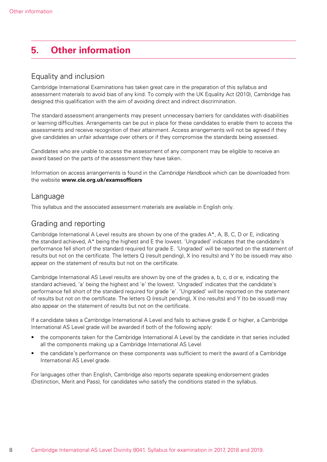# **5. Other information**

#### Equality and inclusion

Cambridge International Examinations has taken great care in the preparation of this syllabus and assessment materials to avoid bias of any kind. To comply with the UK Equality Act (2010), Cambridge has designed this qualification with the aim of avoiding direct and indirect discrimination.

The standard assessment arrangements may present unnecessary barriers for candidates with disabilities or learning difficulties. Arrangements can be put in place for these candidates to enable them to access the assessments and receive recognition of their attainment. Access arrangements will not be agreed if they give candidates an unfair advantage over others or if they compromise the standards being assessed.

Candidates who are unable to access the assessment of any component may be eligible to receive an award based on the parts of the assessment they have taken.

Information on access arrangements is found in the *Cambridge Handbook* which can be downloaded from the website **www.cie.org.uk/examsofficers** 

#### Language

This syllabus and the associated assessment materials are available in English only.

### Grading and reporting

Cambridge International A Level results are shown by one of the grades A\*, A, B, C, D or E, indicating the standard achieved, A\* being the highest and E the lowest. 'Ungraded' indicates that the candidate's performance fell short of the standard required for grade E. 'Ungraded' will be reported on the statement of results but not on the certificate. The letters Q (result pending), X (no results) and Y (to be issued) may also appear on the statement of results but not on the certificate.

Cambridge International AS Level results are shown by one of the grades a, b, c, d or e, indicating the standard achieved, 'a' being the highest and 'e' the lowest. 'Ungraded' indicates that the candidate's performance fell short of the standard required for grade 'e'. 'Ungraded' will be reported on the statement of results but not on the certificate. The letters Q (result pending), X (no results) and Y (to be issued) may also appear on the statement of results but not on the certificate.

If a candidate takes a Cambridge International A Level and fails to achieve grade E or higher, a Cambridge International AS Level grade will be awarded if both of the following apply:

- the components taken for the Cambridge International A Level by the candidate in that series included all the components making up a Cambridge International AS Level
- the candidate's performance on these components was sufficient to merit the award of a Cambridge International AS Level grade.

For languages other than English, Cambridge also reports separate speaking endorsement grades (Distinction, Merit and Pass), for candidates who satisfy the conditions stated in the syllabus.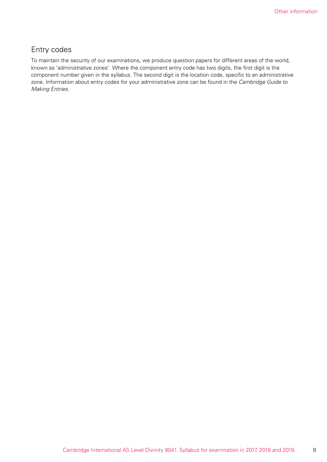### Entry codes

To maintain the security of our examinations, we produce question papers for different areas of the world, known as 'administrative zones'. Where the component entry code has two digits, the first digit is the component number given in the syllabus. The second digit is the location code, specific to an administrative zone. Information about entry codes for your administrative zone can be found in the *Cambridge Guide to Making Entries*.